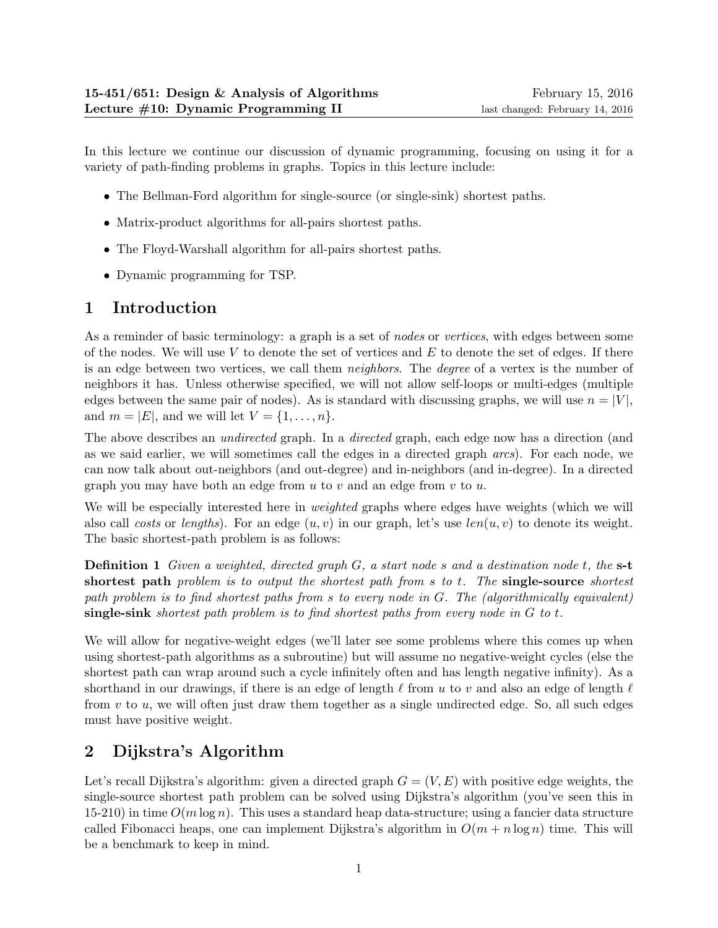In this lecture we continue our discussion of dynamic programming, focusing on using it for a variety of path-finding problems in graphs. Topics in this lecture include:

- The Bellman-Ford algorithm for single-source (or single-sink) shortest paths.
- Matrix-product algorithms for all-pairs shortest paths.
- The Floyd-Warshall algorithm for all-pairs shortest paths.
- Dynamic programming for TSP.

# 1 Introduction

As a reminder of basic terminology: a graph is a set of *nodes* or *vertices*, with edges between some of the nodes. We will use  $V$  to denote the set of vertices and  $E$  to denote the set of edges. If there is an edge between two vertices, we call them neighbors. The degree of a vertex is the number of neighbors it has. Unless otherwise specified, we will not allow self-loops or multi-edges (multiple edges between the same pair of nodes). As is standard with discussing graphs, we will use  $n = |V|$ , and  $m = |E|$ , and we will let  $V = \{1, \ldots, n\}.$ 

The above describes an *undirected* graph. In a *directed* graph, each edge now has a direction (and as we said earlier, we will sometimes call the edges in a directed graph arcs). For each node, we can now talk about out-neighbors (and out-degree) and in-neighbors (and in-degree). In a directed graph you may have both an edge from  $u$  to  $v$  and an edge from  $v$  to  $u$ .

We will be especially interested here in *weighted* graphs where edges have weights (which we will also call costs or lengths). For an edge  $(u, v)$  in our graph, let's use  $len(u, v)$  to denote its weight. The basic shortest-path problem is as follows:

Definition 1 Given a weighted, directed graph G, a start node s and a destination node t, the s-t shortest path problem is to output the shortest path from s to t. The single-source shortest path problem is to find shortest paths from s to every node in G. The (algorithmically equivalent) single-sink shortest path problem is to find shortest paths from every node in  $G$  to  $t$ .

We will allow for negative-weight edges (we'll later see some problems where this comes up when using shortest-path algorithms as a subroutine) but will assume no negative-weight cycles (else the shortest path can wrap around such a cycle infinitely often and has length negative infinity). As a shorthand in our drawings, if there is an edge of length  $\ell$  from u to v and also an edge of length  $\ell$ from  $v$  to  $u$ , we will often just draw them together as a single undirected edge. So, all such edges must have positive weight.

# 2 Dijkstra's Algorithm

Let's recall Dijkstra's algorithm: given a directed graph  $G = (V, E)$  with positive edge weights, the single-source shortest path problem can be solved using Dijkstra's algorithm (you've seen this in 15-210) in time  $O(m \log n)$ . This uses a standard heap data-structure; using a fancier data structure called Fibonacci heaps, one can implement Dijkstra's algorithm in  $O(m + n \log n)$  time. This will be a benchmark to keep in mind.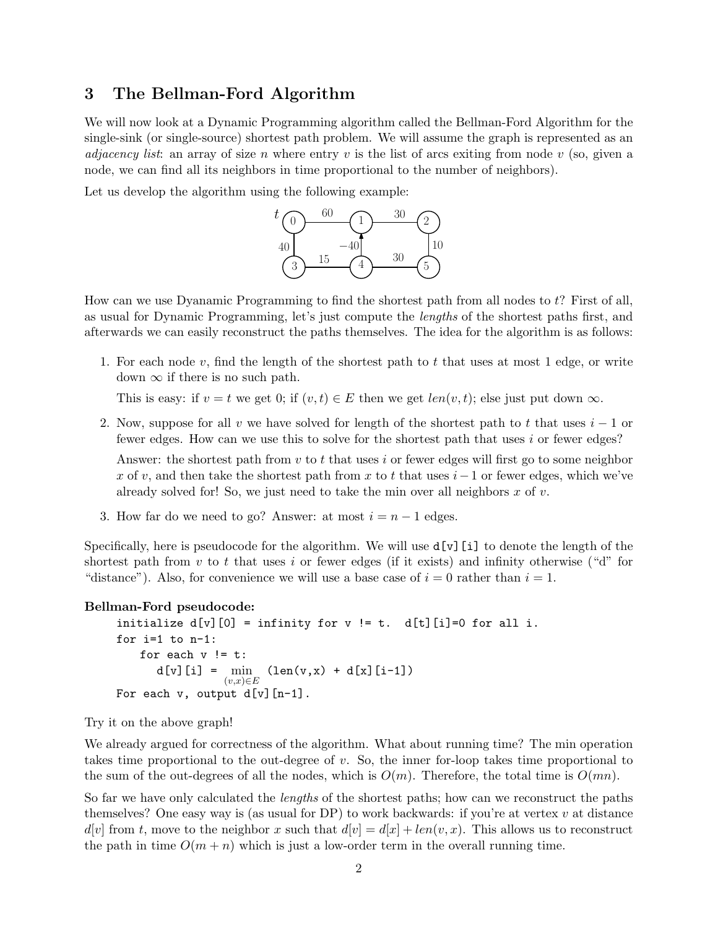### 3 The Bellman-Ford Algorithm

We will now look at a Dynamic Programming algorithm called the Bellman-Ford Algorithm for the single-sink (or single-source) shortest path problem. We will assume the graph is represented as an *adjacency list:* an array of size n where entry v is the list of arcs exiting from node v (so, given a node, we can find all its neighbors in time proportional to the number of neighbors).

Let us develop the algorithm using the following example:



How can we use Dyanamic Programming to find the shortest path from all nodes to t? First of all, as usual for Dynamic Programming, let's just compute the lengths of the shortest paths first, and afterwards we can easily reconstruct the paths themselves. The idea for the algorithm is as follows:

1. For each node  $v$ , find the length of the shortest path to  $t$  that uses at most 1 edge, or write down  $\infty$  if there is no such path.

This is easy: if  $v = t$  we get 0; if  $(v, t) \in E$  then we get  $len(v, t)$ ; else just put down  $\infty$ .

2. Now, suppose for all v we have solved for length of the shortest path to t that uses  $i-1$  or fewer edges. How can we use this to solve for the shortest path that uses  $i$  or fewer edges?

Answer: the shortest path from v to t that uses i or fewer edges will first go to some neighbor x of v, and then take the shortest path from x to t that uses  $i-1$  or fewer edges, which we've already solved for! So, we just need to take the min over all neighbors  $x$  of  $v$ .

3. How far do we need to go? Answer: at most  $i = n - 1$  edges.

Specifically, here is pseudocode for the algorithm. We will use  $d[v][i]$  to denote the length of the shortest path from v to t that uses i or fewer edges (if it exists) and infinity otherwise ("d" for "distance"). Also, for convenience we will use a base case of  $i = 0$  rather than  $i = 1$ .

#### Bellman-Ford pseudocode:

```
initialize d[v][0] = \text{infinity} for v := t. d[t][i] = 0 for all i.
for i=1 to n-1:
    for each v != t:
       d[v][i] = \min_{(v,x)\in E} (len(v,x) + d[x][i-1])For each v, output d[v][n-1].
```
Try it on the above graph!

We already argued for correctness of the algorithm. What about running time? The min operation takes time proportional to the out-degree of  $v$ . So, the inner for-loop takes time proportional to the sum of the out-degrees of all the nodes, which is  $O(m)$ . Therefore, the total time is  $O(mn)$ .

So far we have only calculated the lengths of the shortest paths; how can we reconstruct the paths themselves? One easy way is (as usual for DP) to work backwards: if you're at vertex  $v$  at distance  $d[v]$  from t, move to the neighbor x such that  $d[v] = d[x] + len(v, x)$ . This allows us to reconstruct the path in time  $O(m + n)$  which is just a low-order term in the overall running time.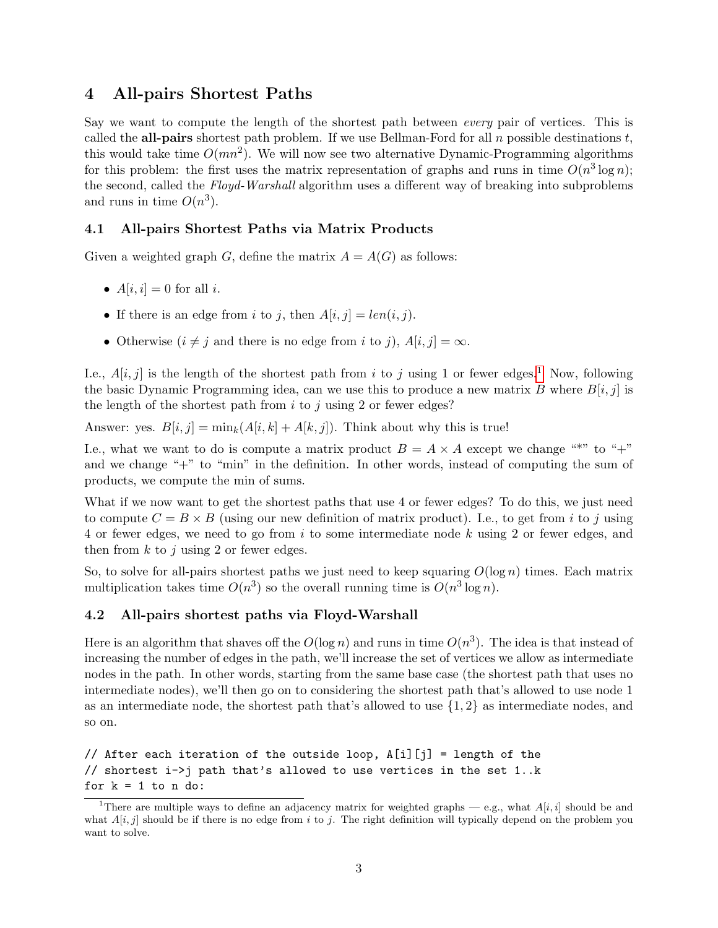#### 4 All-pairs Shortest Paths

Say we want to compute the length of the shortest path between *every* pair of vertices. This is called the **all-pairs** shortest path problem. If we use Bellman-Ford for all n possible destinations t, this would take time  $O(mn^2)$ . We will now see two alternative Dynamic-Programming algorithms for this problem: the first uses the matrix representation of graphs and runs in time  $O(n^3 \log n)$ ; the second, called the Floyd-Warshall algorithm uses a different way of breaking into subproblems and runs in time  $O(n^3)$ .

#### 4.1 All-pairs Shortest Paths via Matrix Products

Given a weighted graph G, define the matrix  $A = A(G)$  as follows:

- $A[i, i] = 0$  for all i.
- If there is an edge from i to j, then  $A[i, j] = len(i, j)$ .
- Otherwise  $(i \neq j$  and there is no edge from i to j),  $A[i, j] = \infty$ .

I.e.,  $A[i, j]$  is the length of the shortest path from i to j using [1](#page-2-0) or fewer edges.<sup>1</sup> Now, following the basic Dynamic Programming idea, can we use this to produce a new matrix B where  $B[i, j]$  is the length of the shortest path from  $i$  to  $j$  using 2 or fewer edges?

Answer: yes.  $B[i, j] = \min_k(A[i, k] + A[k, j])$ . Think about why this is true!

I.e., what we want to do is compute a matrix product  $B = A \times A$  except we change "\*" to "+" and we change "+" to "min" in the definition. In other words, instead of computing the sum of products, we compute the min of sums.

What if we now want to get the shortest paths that use 4 or fewer edges? To do this, we just need to compute  $C = B \times B$  (using our new definition of matrix product). I.e., to get from i to j using 4 or fewer edges, we need to go from i to some intermediate node k using 2 or fewer edges, and then from  $k$  to  $j$  using 2 or fewer edges.

So, to solve for all-pairs shortest paths we just need to keep squaring  $O(\log n)$  times. Each matrix multiplication takes time  $O(n^3)$  so the overall running time is  $O(n^3 \log n)$ .

#### 4.2 All-pairs shortest paths via Floyd-Warshall

Here is an algorithm that shaves off the  $O(\log n)$  and runs in time  $O(n^3)$ . The idea is that instead of increasing the number of edges in the path, we'll increase the set of vertices we allow as intermediate nodes in the path. In other words, starting from the same base case (the shortest path that uses no intermediate nodes), we'll then go on to considering the shortest path that's allowed to use node 1 as an intermediate node, the shortest path that's allowed to use  $\{1, 2\}$  as intermediate nodes, and so on.

```
// After each iteration of the outside loop, A[i][j] = length of the
// shortest i->j path that's allowed to use vertices in the set 1..k
for k = 1 to n do:
```
<span id="page-2-0"></span><sup>&</sup>lt;sup>1</sup>There are multiple ways to define an adjacency matrix for weighted graphs — e.g., what  $A[i, i]$  should be and what  $A[i, j]$  should be if there is no edge from i to j. The right definition will typically depend on the problem you want to solve.